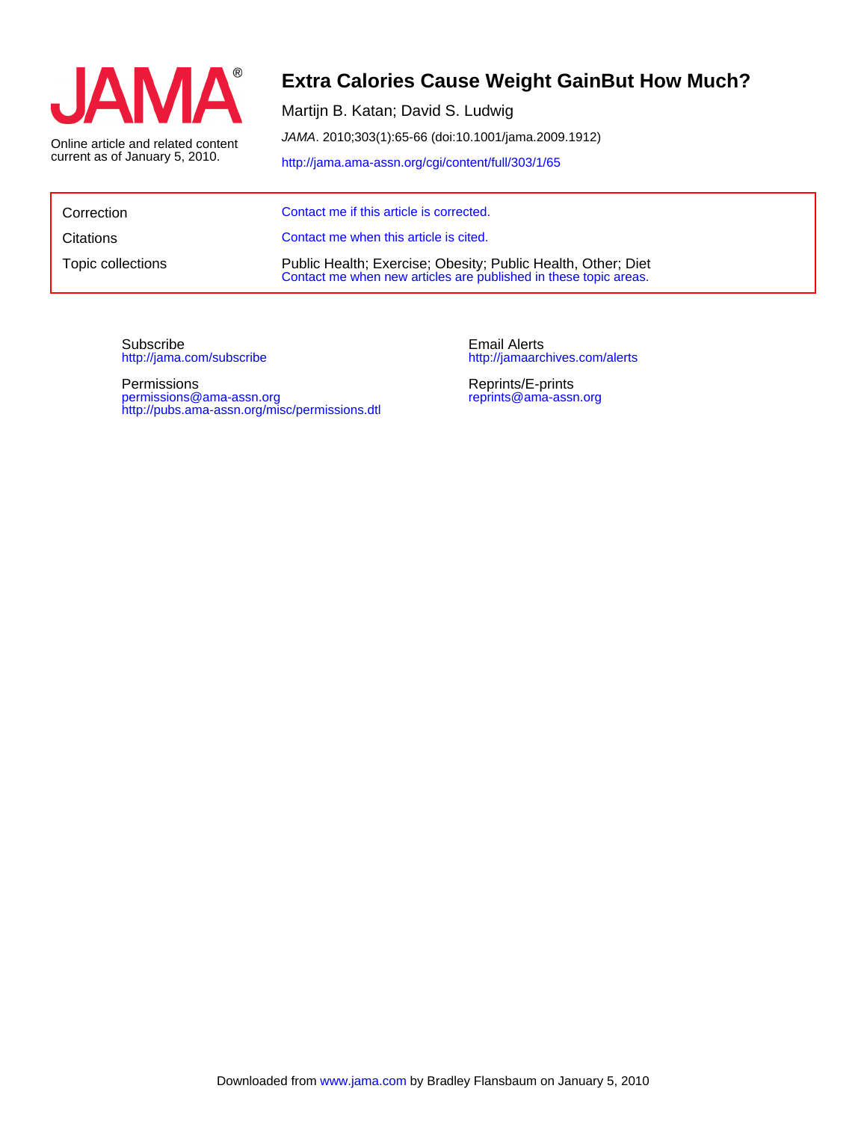

current as of January 5, 2010. Online article and related content

# **Extra Calories Cause Weight Gain But How Much?**

<http://jama.ama-assn.org/cgi/content/full/303/1/65> JAMA. 2010;303(1):65-66 (doi:10.1001/jama.2009.1912) Martijn B. Katan; David S. Ludwig

| Correction        | Contact me if this article is corrected.                                                                                      |
|-------------------|-------------------------------------------------------------------------------------------------------------------------------|
| Citations         | Contact me when this article is cited.                                                                                        |
| Topic collections | Public Health; Exercise; Obesity; Public Health, Other; Diet Contact me when new articles are published in these topic areas. |

<http://jama.com/subscribe> Subscribe

<http://pubs.ama-assn.org/misc/permissions.dtl> permissions@ama-assn.org **Permissions** 

<http://jamaarchives.com/alerts> Email Alerts

[reprints@ama-assn.org](mailto:reprints@ama-assn.org) Reprints/E-prints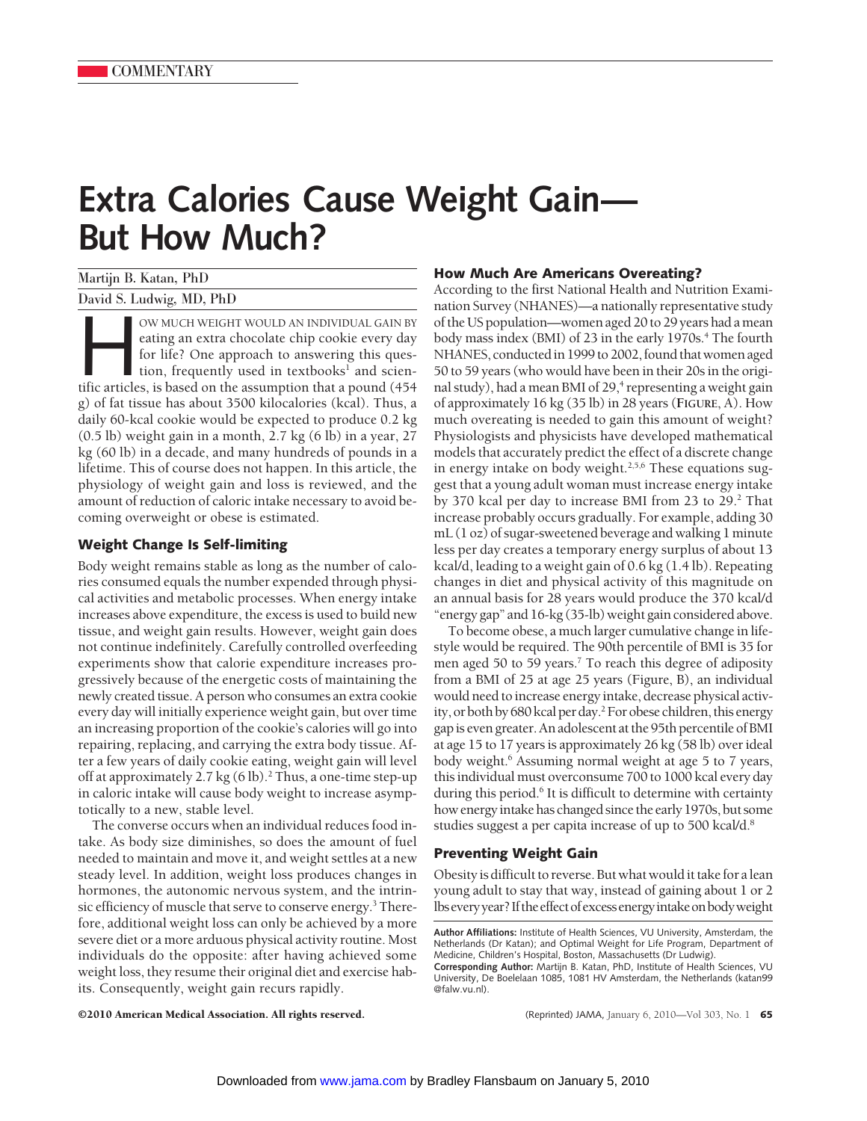# **Extra Calories Cause Weight Gain— But How Much?**

| Martijn B. Katan, PhD    |  |
|--------------------------|--|
| David S. Ludwig, MD, PhD |  |

OW MUCH WEIGHT WOULD AN INDIVIDUAL GAIN BY<br>
eating an extra chocolate chip cookie every day<br>
for life? One approach to answering this ques-<br>
tific articles, is based on the assumption that a pound (454 eating an extra chocolate chip cookie every day for life? One approach to answering this question, frequently used in textbooks<sup>1</sup> and scieng) of fat tissue has about 3500 kilocalories (kcal). Thus, a daily 60-kcal cookie would be expected to produce 0.2 kg (0.5 lb) weight gain in a month, 2.7 kg (6 lb) in a year, 27 kg (60 lb) in a decade, and many hundreds of pounds in a lifetime. This of course does not happen. In this article, the physiology of weight gain and loss is reviewed, and the amount of reduction of caloric intake necessary to avoid becoming overweight or obese is estimated.

## **Weight Change Is Self-limiting**

Body weight remains stable as long as the number of calories consumed equals the number expended through physical activities and metabolic processes. When energy intake increases above expenditure, the excess is used to build new tissue, and weight gain results. However, weight gain does not continue indefinitely. Carefully controlled overfeeding experiments show that calorie expenditure increases progressively because of the energetic costs of maintaining the newly created tissue. A person who consumes an extra cookie every day will initially experience weight gain, but over time an increasing proportion of the cookie's calories will go into repairing, replacing, and carrying the extra body tissue. After a few years of daily cookie eating, weight gain will level off at approximately 2.7 kg  $(6 lb).<sup>2</sup>$  Thus, a one-time step-up in caloric intake will cause body weight to increase asymptotically to a new, stable level.

The converse occurs when an individual reduces food intake. As body size diminishes, so does the amount of fuel needed to maintain and move it, and weight settles at a new steady level. In addition, weight loss produces changes in hormones, the autonomic nervous system, and the intrinsic efficiency of muscle that serve to conserve energy.<sup>3</sup> Therefore, additional weight loss can only be achieved by a more severe diet or a more arduous physical activity routine. Most individuals do the opposite: after having achieved some weight loss, they resume their original diet and exercise habits. Consequently, weight gain recurs rapidly.

### **How Much Are Americans Overeating?**

According to the first National Health and Nutrition Examination Survey (NHANES)—a nationally representative study of the US population—women aged 20 to 29 years had a mean body mass index (BMI) of 23 in the early 1970s.<sup>4</sup> The fourth NHANES, conducted in 1999 to 2002, found that women aged 50 to 59 years (who would have been in their 20s in the original study), had a mean BMI of 29,<sup>4</sup> representing a weight gain of approximately 16 kg (35 lb) in 28 years (**FIGURE**, A). How much overeating is needed to gain this amount of weight? Physiologists and physicists have developed mathematical models that accurately predict the effect of a discrete change in energy intake on body weight.<sup>2,5,6</sup> These equations suggest that a young adult woman must increase energy intake by 370 kcal per day to increase BMI from 23 to 29.<sup>2</sup> That increase probably occurs gradually. For example, adding 30 mL (1 oz) of sugar-sweetened beverage and walking 1 minute less per day creates a temporary energy surplus of about 13 kcal/d, leading to a weight gain of 0.6 kg (1.4 lb). Repeating changes in diet and physical activity of this magnitude on an annual basis for 28 years would produce the 370 kcal/d "energy gap" and 16-kg (35-lb) weight gain considered above.

To become obese, a much larger cumulative change in lifestyle would be required. The 90th percentile of BMI is 35 for men aged 50 to 59 years.<sup>7</sup> To reach this degree of adiposity from a BMI of 25 at age 25 years (Figure, B), an individual would need to increase energy intake, decrease physical activity, or both by 680 kcal per day.<sup>2</sup> For obese children, this energy gapis even greater. An adolescent at the 95th percentile of BMI at age 15 to 17 years is approximately 26 kg (58 lb) over ideal body weight.<sup>6</sup> Assuming normal weight at age 5 to 7 years, this individual must overconsume 700 to 1000 kcal every day during this period.<sup>6</sup> It is difficult to determine with certainty how energy intake has changed since the early 1970s, but some studies suggest a per capita increase of up to 500 kcal/d.<sup>8</sup>

### **Preventing Weight Gain**

Obesity is difficult to reverse. But what would it take for a lean young adult to stay that way, instead of gaining about 1 or 2 lbseveryyear? If theeffectofexcessenergyintakeonbodyweight

©2010 American Medical Association. All rights reserved. (Reprinted) JAMA, January 6, 2010—Vol 303, No. 1 **65**

**Author Affiliations:** Institute of Health Sciences, VU University, Amsterdam, the Netherlands (Dr Katan); and Optimal Weight for Life Program, Department of Medicine, Children's Hospital, Boston, Massachusetts (Dr Ludwig). **Corresponding Author:** Martijn B. Katan, PhD, Institute of Health Sciences, VU University, De Boelelaan 1085, 1081 HV Amsterdam, the Netherlands (katan99 @falw.vu.nl).